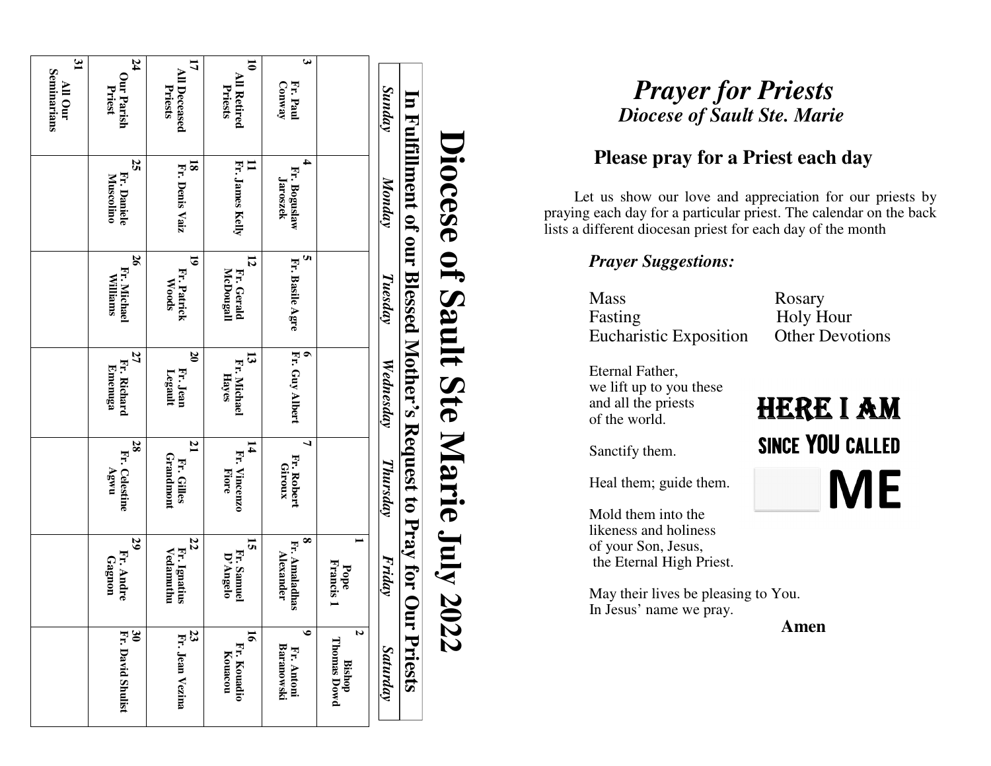| $\mathfrak{z}_1$<br>Seminarians<br>All Our | 24<br>Our Parish<br>Priest          | 17<br>$\mathbb{R}$<br><b>Deceased</b><br>Priests  | 5<br>All Retired<br>Priests           | $\boldsymbol{\omega}$<br>Fr. Paul<br>Conway   |                                               | <b>Sunday</b> | $\mathbf{E}$                                                                                                                                                                                          | <b>Prayer for Priests</b><br><b>Diocese of Sault Ste. Marie</b> |
|--------------------------------------------|-------------------------------------|---------------------------------------------------|---------------------------------------|-----------------------------------------------|-----------------------------------------------|---------------|-------------------------------------------------------------------------------------------------------------------------------------------------------------------------------------------------------|-----------------------------------------------------------------|
|                                            | 25<br>Fr. Daniele<br>Muscolino      | $\frac{18}{E}$<br>Denis Vaiz                      | цĘ.<br><b>James Kelly</b>             | 4<br>Fr. Boguslaw<br>Jaroszek                 |                                               | Monday        | <b>Fulfillment of</b><br><b>Diocese</b><br>Let us show our love and appreciation for<br>praying each day for a particular priest. The calend<br>lists a different diocesan priest for each day of the | Please pray for a Priest each d                                 |
|                                            | 26<br>Fr. Michael<br>Williams       | 5<br>Fr. Patrick<br>Woods                         | 12<br>McDougall<br>Fr. Gerald         | <b>u</b><br>Fr.<br><b>Basile Agre</b>         |                                               | Tuesday       | Jmo<br>of Sault Ste<br><b>Prayer Suggestions:</b><br><b>Mass</b><br>Fasting<br><b>Eucharistic Exposition</b>                                                                                          | Rosary<br>Holy Hour<br><b>Other Dev</b>                         |
|                                            | 27<br>Fr. Richard<br><b>Emenuga</b> | $\boldsymbol{\mathcal{S}}$<br>Fr. Jean<br>Legault | 53<br>Fr. Michael<br>Hayes            | e È.<br>Guy Albert                            |                                               | Wednesday     | Blessed Mother's Request to Pray for Ou<br>Eternal Father,<br>we lift up to you these<br>and all the priests<br>of the world.                                                                         | <b>HERE I</b>                                                   |
|                                            | 28<br>Fr. Celestine<br><b>Ugwu</b>  | $\mathbf{z}$<br>Fr. Gilles<br>Grandmont           | 14<br>Fr.<br><b>Vincenzo</b><br>Fiore | ┙<br>Fr. Robert<br>Giroux                     |                                               | Thursday      | Marie July 20<br>Sanctify them.<br>Heal them; guide them.<br>Mold them into the<br>likeness and holiness                                                                                              | SINCE YOU                                                       |
|                                            | 29<br>Fr. Andre<br>Gagnon           | 22<br>Fr. Ignatius<br>Vedamuthu                   | 15<br>Fr. Samuel<br>D'Angelo          | $\infty$<br>Fr. Amaladhas<br><b>Alexander</b> | $\overline{\phantom{0}}$<br>Francis 1<br>Pope | Friday        | of your Son, Jesus,<br>the Eternal High Priest.<br>May their lives be pleasing to You.<br>In Jesus' name we pray.<br>Ę                                                                                | <b>Amen</b>                                                     |
|                                            | ક<br>Fr. David Shulist              | 23<br>Fr. Jean Vezina                             | 5<br>Fr. Kouadio<br>Kouacou           | $\bullet$<br>Baranowski<br>Fr. Antoni         | N<br><b>Thomas Dowd</b><br><b>Bishop</b>      | Saturday      | 22<br>Priests                                                                                                                                                                                         |                                                                 |

# **Please pray for a Priest each day**

 Let us show our love and appreciation for our priests by praying each day for a particular priest. The calendar on the back lists a different diocesan priest for each day of the month

### *Prayer Suggestions:*

**Other Devotions** 

**HERE I AM SINCE YOU CALLED** ME